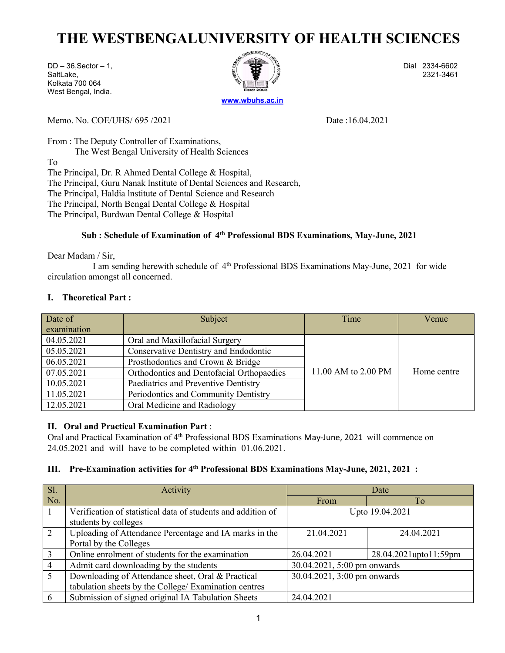## THE WESTBENGALUNIVERSITY OF HEALTH SCIENCES<br>  $\frac{1}{12}$  Dial 2334-6602<br>
Itlake,<br>
Ikata 700 064<br>
Ikata 700 064<br>
Ikata 700 064<br>
Ikata 700 064<br>
Ikata 700 064<br>
Ikata 700 064 THE WESTBENGALUNIVERSITY OF HEALTH SCIENCES<br>
DD – 36,Sector – 1,<br>
SaltLake,<br>
More Rigal, India.<br>
West Bengal, India.<br>
Murre No. COF/LUS (265, 2021)<br>
Murre No. COF/LUS (265, 2021) THE WESTBENGALUNIVERSITY OF HEALTH SCIENCES<br>
DD - 36, Sector - 1,<br>
SaltLake,<br>
Kolkata 700 064<br>
West Bengal, India.<br>
Memo. No. COE/UHS/ 695 /2021<br>
Memo. No. COE/UHS/ 695 /2021<br>
Pate :16.04.2021 THE WESTBENGALUNIVERSITY OF HEAL<br>
DD-36,Sector-1,<br>
SaltLake,<br>
Kolkata 700 064<br>
West Bengal, India.<br>
Memo. No. COE/UHS/ 695 /2021<br>
Date :16. THE WESTBENGALUNIVERSITY OF HEAL<sup>T</sup><br>
DD-36,Sector – 1,<br>
SaltLake,<br>
Kolkata 700 064<br>
West Bengal, India.<br>
Memo. No. COE/UHS/ 695 /2021<br>
From : The Deputy Controller of Examinations,



THE WESTBENGALUNIVERSITY OF HEALTH SCIENCES<br>
DD-36,Sector - 1,<br>
Sail also,<br>
Kolkata 700 064<br>
West Bengal, India.<br>
Memo. No. COE/UHS/ 695 /2021 Date :16.04.2021<br>
Trom : The Deputy Controller of Examinations,<br>
The West Benga THE WESTBENGALUNIVERSITY OF HEALTH SCIENC<br>
DD<sup>-36,Sector - 1,<br>
Scaltake,<br>
Kolkata 700 064<br>
Memo. No. COE/UHS/ 695 /2021<br>
Trom : The Deputy Controller of Examinations,<br>
The Principal, Dr. R. Ahmed Dental College & Hospital,</sup> The WESTBENGALUNIVERSITY OF HEALTH SCIENCES<br>
Sector - 1,<br>
2018 2334-6602<br>
Angal, India.<br>
No. COE/UHS/ 695 /2021<br>
The Deputy Controller of Examinations,<br>
The West Bengal University of Health Sciences<br>
neipal, Dr. R Ahmed De To THE WESTBENGALUNIVERSITY OF HEALTH SCIENCES<br>
DD-36,Sector-1,<br>
SaltLake,<br>
SaltLake,<br>
Net Bengal, India.<br>
Memo. No. COE/UHS/ 695/2021<br>
Trom : The Deputy Controller of Examinations,<br>
The West Bengal University of Health Scien THE WESTBENGALUNIVERSITY OF HEALTH SCIENCES<br>
DD-36.Sector - 1,<br>
Saltake, 700.064<br>
Kolkata 700.064<br>
West Bengal, India.<br>
Memo. No. COE/UHS/ 695/2021<br>
From : The Deputy Controller of Examinations,<br>
The Pincipal, D. R. Ahmed THE WESTBENGALUNIVERSITY OF HEALTH SCIENCES<br>
DD-36,Sector - 1.<br>
Scilkata 700.064<br>
West Bengal, India.<br>
West Bengal, India.<br>
Memo. No. COE/UHS/ 695 /2021<br>
From : The Deputy Controller of Examinations,<br>
The Principal, Dr. R THE WESTBENGALUNIVERSITY OF HEALTH SCIENCES<br>
Dan 2334-6002<br>
Solidar 700 064<br>
Nest Bengal, India.<br>
West Bengal, India.<br>
The Principal, R. Ahmed Dental College & Hospital,<br>
To<br>
The Principal, Curu Nanak Institute of Dental S THE WESTBENGALUNIVERSITY OF HEALTH SCIENCES<br>
DD-36,Sector - 1.<br>
Scallake,<br>
Nolsta 700.064<br>
West Bengal, India.<br>
West Bengal, India.<br>
Memo. No. COE/UHS/ 695 /2021<br>
From : The Deputy Controller of Examinations,<br>
The Princip **E WESTBENGALUNIVERSITY OF HEALTH SCIENCES**<br>
edor – 1,<br>  $10^{10}$  2324-6802<br>
blue 2324-6802<br>
blue 2324-3461<br>
o. COE/UHS/ 695/2021<br>
are Deputy Controller of Examinations,<br>
bight, Dr. R Ahmed Dental College & Hospital,<br>
pigh DD – 36, Sector – 1,<br>
Saltake,<br>
Saltake,<br>
Kolkata 700 064<br>
West Bengal, India.<br>
Memo. No. COE/UHS/ 695 /2021<br>
Date :16.04:<br>
Trom : The Deputy Controller of Examinations,<br>
The West Bengal University of Health Sciences<br>
To<br> Dial 2334-6602<br>
India.<br>
Bepty Controller of Examinations,<br>
West Bengal University of Health Sciences<br>
West Bengal University of Health Sciences<br>
I., Dr. R. Ahmed Dental College & Hospital,<br>
I., Hould an Institute of Denta Concerned. Marketter and Research Concerned. West Bengal, India.<br>
Salltake,<br>
Kolkata 700 064<br>
Kolkata 700 064<br>
West Bengal University of Health Sciences<br>
To<br>
The Principal, Grou Nanak Institute of Dental College & Hospita Nexata Voolence<br>
Memo. No. COE/UHS/ 695 /2021<br>
IDME : I6.04.2021<br>
IDME : If the Principal, India.<br>
IDME : IF the Principal, Dr. R. Ahmed Dental College & Hospital,<br>
To<br>
The Principal, Dr. R. Ahmed Dental College & Hospital Memo. No. COE/UHS/ 695 /2021<br>
Da<br>
From : The Deputy Controller of Examinations,<br>
The West Bengal University of Health Sciences<br>
To<br>
The Principal, Dr. R. Ahmed Dental College & Hospital,<br>
The Principal, Haldia Institute of

| To                       |                                                                                                          | The Principal, Dr. R Ahmed Dental College & Hospital,<br>The Principal, Guru Nanak Institute of Dental Sciences and Research,<br>The Principal, Haldia Institute of Dental Science and Research<br>The Principal, North Bengal Dental College & Hospital<br>The Principal, Burdwan Dental College & Hospital                      |                              |                       |  |
|--------------------------|----------------------------------------------------------------------------------------------------------|-----------------------------------------------------------------------------------------------------------------------------------------------------------------------------------------------------------------------------------------------------------------------------------------------------------------------------------|------------------------------|-----------------------|--|
|                          |                                                                                                          | Sub: Schedule of Examination of 4th Professional BDS Examinations, May-June, 2021                                                                                                                                                                                                                                                 |                              |                       |  |
|                          | Dear Madam / Sir,<br>circulation amongst all concerned.<br>I. Theoretical Part:                          | I am sending herewith schedule of 4 <sup>th</sup> Professional BDS Examinations May-June, 2021 for wide                                                                                                                                                                                                                           |                              |                       |  |
| Date of                  |                                                                                                          |                                                                                                                                                                                                                                                                                                                                   | Time                         | Venue                 |  |
|                          | examination                                                                                              | Subject                                                                                                                                                                                                                                                                                                                           |                              |                       |  |
|                          | 04.05.2021                                                                                               | Oral and Maxillofacial Surgery                                                                                                                                                                                                                                                                                                    |                              |                       |  |
|                          | 05.05.2021                                                                                               | Conservative Dentistry and Endodontic                                                                                                                                                                                                                                                                                             |                              |                       |  |
| 06.05.2021<br>07.05.2021 |                                                                                                          | Prosthodontics and Crown & Bridge                                                                                                                                                                                                                                                                                                 |                              |                       |  |
|                          |                                                                                                          | Orthodontics and Dentofacial Orthopaedics                                                                                                                                                                                                                                                                                         | 11.00 AM to 2.00 PM          | Home centre           |  |
|                          | 10.05.2021                                                                                               | Paediatrics and Preventive Dentistry                                                                                                                                                                                                                                                                                              |                              |                       |  |
| 11.05.2021<br>12.05.2021 |                                                                                                          | Periodontics and Community Dentistry                                                                                                                                                                                                                                                                                              |                              |                       |  |
|                          |                                                                                                          | Oral Medicine and Radiology                                                                                                                                                                                                                                                                                                       |                              |                       |  |
| Ш.                       |                                                                                                          | II. Oral and Practical Examination Part:<br>Oral and Practical Examination of 4 <sup>th</sup> Professional BDS Examinations May-June, 2021 will commence on<br>24.05.2021 and will have to be completed within 01.06.2021.<br>Pre-Examination activities for 4 <sup>th</sup> Professional BDS Examinations May-June, 2021, 2021 : |                              |                       |  |
| SI.                      |                                                                                                          | Activity                                                                                                                                                                                                                                                                                                                          |                              | Date                  |  |
| No.                      |                                                                                                          |                                                                                                                                                                                                                                                                                                                                   | From                         | To                    |  |
|                          |                                                                                                          | Verification of statistical data of students and addition of                                                                                                                                                                                                                                                                      | Upto 19.04.2021              |                       |  |
| $\overline{2}$           | students by colleges<br>Uploading of Attendance Percentage and IA marks in the<br>Portal by the Colleges |                                                                                                                                                                                                                                                                                                                                   | 21.04.2021                   | 24.04.2021            |  |
| 3                        | Online enrolment of students for the examination                                                         |                                                                                                                                                                                                                                                                                                                                   | 26.04.2021                   | 28.04.2021upto11:59pm |  |
| $\overline{4}$           |                                                                                                          | Admit card downloading by the students                                                                                                                                                                                                                                                                                            | $30.04.2021$ 5.00 nm onwards |                       |  |

| Date of                                      |                                                   | publect                                                                                                                                                                                                                                                                               | I IIIIE                     |                     | <u>v</u> chuc         |  |
|----------------------------------------------|---------------------------------------------------|---------------------------------------------------------------------------------------------------------------------------------------------------------------------------------------------------------------------------------------------------------------------------------------|-----------------------------|---------------------|-----------------------|--|
|                                              | examination                                       |                                                                                                                                                                                                                                                                                       |                             |                     |                       |  |
| Oral and Maxillofacial Surgery<br>04.05.2021 |                                                   |                                                                                                                                                                                                                                                                                       |                             |                     |                       |  |
| 05.05.2021                                   |                                                   | <b>Conservative Dentistry and Endodontic</b>                                                                                                                                                                                                                                          |                             | 11.00 AM to 2.00 PM |                       |  |
| 06.05.2021                                   |                                                   | Prosthodontics and Crown & Bridge                                                                                                                                                                                                                                                     |                             |                     |                       |  |
| 07.05.2021                                   |                                                   | Orthodontics and Dentofacial Orthopaedics                                                                                                                                                                                                                                             |                             |                     |                       |  |
| 10.05.2021                                   |                                                   | Paediatrics and Preventive Dentistry                                                                                                                                                                                                                                                  |                             |                     |                       |  |
| 11.05.2021                                   |                                                   | Periodontics and Community Dentistry                                                                                                                                                                                                                                                  |                             |                     |                       |  |
| 12.05.2021                                   |                                                   | Oral Medicine and Radiology                                                                                                                                                                                                                                                           |                             |                     |                       |  |
| Ш.                                           |                                                   | Oral and Practical Examination of 4 <sup>th</sup> Professional BDS Examinations May-June, 2021 will commence on<br>24.05.2021 and will have to be completed within 01.06.2021.<br>Pre-Examination activities for 4 <sup>th</sup> Professional BDS Examinations May-June, 2021, 2021 : |                             | Date                |                       |  |
| Sl.                                          |                                                   | Activity                                                                                                                                                                                                                                                                              |                             |                     |                       |  |
| No.<br>$\mathbf{1}$                          |                                                   | Verification of statistical data of students and addition of                                                                                                                                                                                                                          | From                        |                     | To                    |  |
|                                              | students by colleges                              |                                                                                                                                                                                                                                                                                       | Upto 19.04.2021             |                     |                       |  |
| $\overline{2}$                               | Portal by the Colleges                            | Uploading of Attendance Percentage and IA marks in the                                                                                                                                                                                                                                | 21.04.2021                  |                     | 24.04.2021            |  |
| $\mathfrak{Z}$                               |                                                   | Online enrolment of students for the examination                                                                                                                                                                                                                                      | 26.04.2021                  |                     | 28.04.2021upto11:59pm |  |
| $\overline{4}$                               |                                                   | Admit card downloading by the students                                                                                                                                                                                                                                                | 30.04.2021, 5:00 pm onwards |                     |                       |  |
| 5                                            | Downloading of Attendance sheet, Oral & Practical |                                                                                                                                                                                                                                                                                       | 30.04.2021, 3:00 pm onwards |                     |                       |  |
|                                              |                                                   | tabulation sheets by the College/ Examination centres                                                                                                                                                                                                                                 |                             |                     |                       |  |
| 6                                            |                                                   | Submission of signed original IA Tabulation Sheets                                                                                                                                                                                                                                    | 24.04.2021                  |                     |                       |  |
|                                              |                                                   |                                                                                                                                                                                                                                                                                       |                             |                     |                       |  |
|                                              |                                                   |                                                                                                                                                                                                                                                                                       |                             |                     |                       |  |